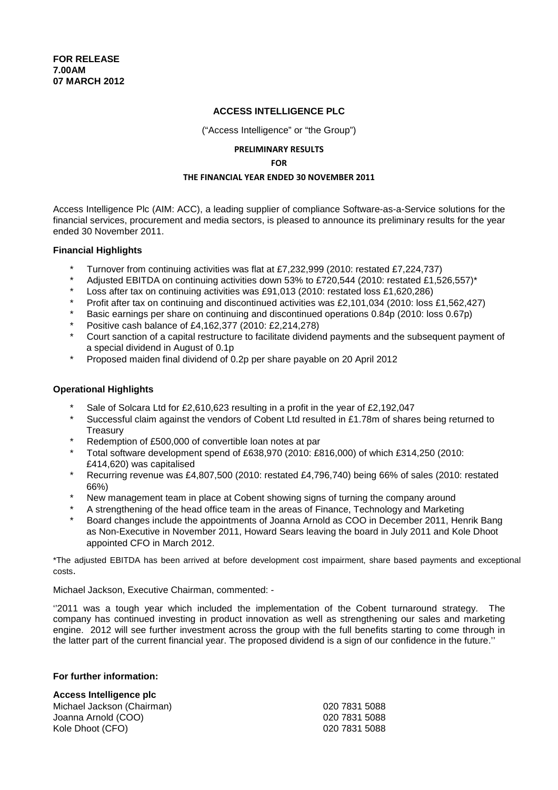# **ACCESS INTELLIGENCE PLC**

("Access Intelligence" or "the Group")

# PRELIMINARY RESULTS

FOR

### THE FINANCIAL YEAR ENDED 30 NOVEMBER 2011

Access Intelligence Plc (AIM: ACC), a leading supplier of compliance Software-as-a-Service solutions for the financial services, procurement and media sectors, is pleased to announce its preliminary results for the year ended 30 November 2011.

### **Financial Highlights**

- \* Turnover from continuing activities was flat at £7,232,999 (2010: restated £7,224,737)
- Adjusted EBITDA on continuing activities down 53% to £720,544 (2010: restated £1,526,557)\*
- Loss after tax on continuing activities was £91,013 (2010: restated loss £1,620,286)
- Profit after tax on continuing and discontinued activities was £2,101,034 (2010: loss £1,562,427)
- Basic earnings per share on continuing and discontinued operations 0.84p (2010: loss 0.67p)
- \* Positive cash balance of £4,162,377 (2010: £2,214,278)
- Court sanction of a capital restructure to facilitate dividend payments and the subsequent payment of a special dividend in August of 0.1p
- \* Proposed maiden final dividend of 0.2p per share payable on 20 April 2012

# **Operational Highlights**

- Sale of Solcara Ltd for  $£2.610.623$  resulting in a profit in the year of  $£2.192.047$
- Successful claim against the vendors of Cobent Ltd resulted in £1.78m of shares being returned to **Treasurv**
- Redemption of £500,000 of convertible loan notes at par
- Total software development spend of £638,970 (2010: £816,000) of which £314,250 (2010: £414,620) was capitalised
- \* Recurring revenue was £4,807,500 (2010: restated £4,796,740) being 66% of sales (2010: restated 66%)
- New management team in place at Cobent showing signs of turning the company around
- A strengthening of the head office team in the areas of Finance, Technology and Marketing
- Board changes include the appointments of Joanna Arnold as COO in December 2011, Henrik Bang as Non-Executive in November 2011, Howard Sears leaving the board in July 2011 and Kole Dhoot appointed CFO in March 2012.

\*The adjusted EBITDA has been arrived at before development cost impairment, share based payments and exceptional costs.

Michael Jackson, Executive Chairman, commented: -

''2011 was a tough year which included the implementation of the Cobent turnaround strategy. The company has continued investing in product innovation as well as strengthening our sales and marketing engine. 2012 will see further investment across the group with the full benefits starting to come through in the latter part of the current financial year. The proposed dividend is a sign of our confidence in the future.''

### **For further information:**

### **Access Intelligence plc**

| Michael Jackson (Chairman) | 020 7831 5088 |
|----------------------------|---------------|
| Joanna Arnold (COO)        | 020 7831 5088 |
| Kole Dhoot (CFO)           | 020 7831 5088 |
|                            |               |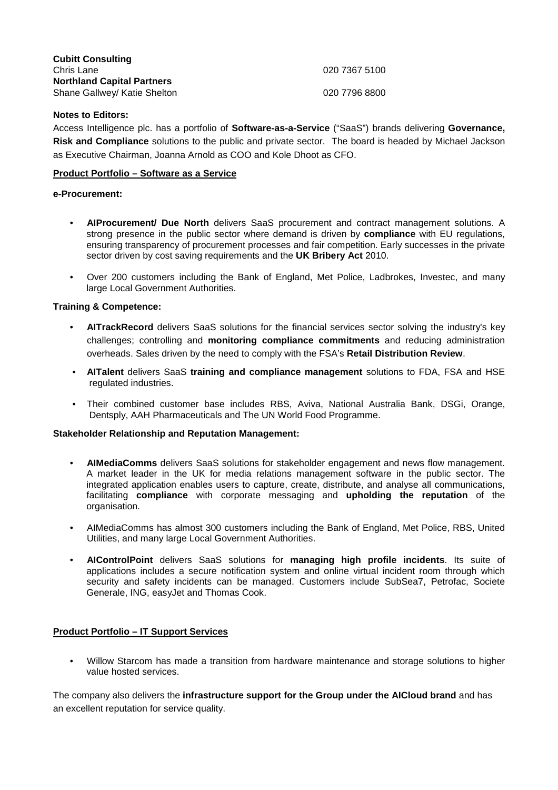| <b>Cubitt Consulting</b>          |               |
|-----------------------------------|---------------|
| Chris Lane                        | 020 7367 5100 |
| <b>Northland Capital Partners</b> |               |
| Shane Gallwey/ Katie Shelton      | 020 7796 8800 |

# **Notes to Editors:**

Access Intelligence plc. has a portfolio of **Software-as-a-Service** ("SaaS") brands delivering **Governance, Risk and Compliance** solutions to the public and private sector. The board is headed by Michael Jackson as Executive Chairman, Joanna Arnold as COO and Kole Dhoot as CFO.

# **Product Portfolio – Software as a Service**

# **e-Procurement:**

- **AIProcurement/ Due North** delivers SaaS procurement and contract management solutions. A strong presence in the public sector where demand is driven by **compliance** with EU regulations, ensuring transparency of procurement processes and fair competition. Early successes in the private sector driven by cost saving requirements and the **UK Bribery Act** 2010.
- Over 200 customers including the Bank of England, Met Police, Ladbrokes, Investec, and many large Local Government Authorities.

# **Training & Competence:**

- **AITrackRecord** delivers SaaS solutions for the financial services sector solving the industry's key challenges; controlling and **monitoring compliance commitments** and reducing administration overheads. Sales driven by the need to comply with the FSA's **Retail Distribution Review**.
- **AITalent** delivers SaaS **training and compliance management** solutions to FDA, FSA and HSE regulated industries.
- Their combined customer base includes RBS, Aviva, National Australia Bank, DSGi, Orange, Dentsply, AAH Pharmaceuticals and The UN World Food Programme.

# **Stakeholder Relationship and Reputation Management:**

- **AIMediaComms** delivers SaaS solutions for stakeholder engagement and news flow management. A market leader in the UK for media relations management software in the public sector. The integrated application enables users to capture, create, distribute, and analyse all communications, facilitating **compliance** with corporate messaging and **upholding the reputation** of the organisation.
- AIMediaComms has almost 300 customers including the Bank of England, Met Police, RBS, United Utilities, and many large Local Government Authorities.
- **AIControlPoint** delivers SaaS solutions for **managing high profile incidents**. Its suite of applications includes a secure notification system and online virtual incident room through which security and safety incidents can be managed. Customers include SubSea7, Petrofac, Societe Generale, ING, easyJet and Thomas Cook.

# **Product Portfolio – IT Support Services**

• Willow Starcom has made a transition from hardware maintenance and storage solutions to higher value hosted services.

The company also delivers the **infrastructure support for the Group under the AICloud brand** and has an excellent reputation for service quality.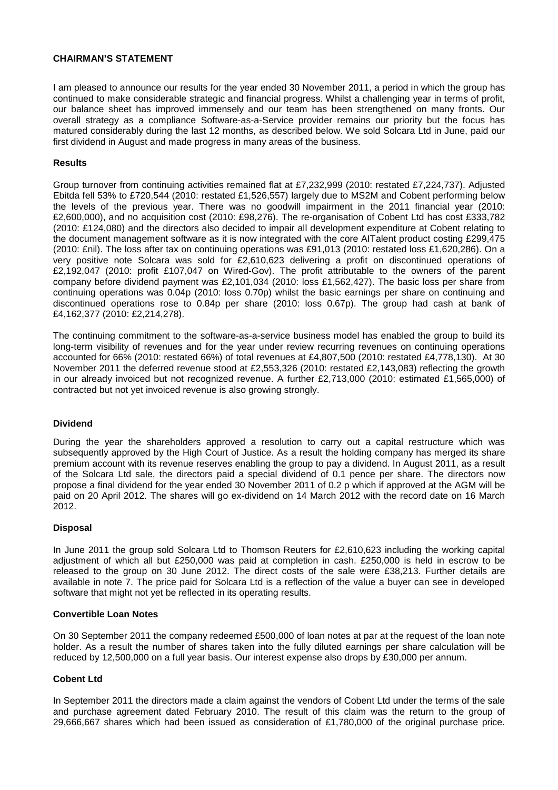# **CHAIRMAN'S STATEMENT**

I am pleased to announce our results for the year ended 30 November 2011, a period in which the group has continued to make considerable strategic and financial progress. Whilst a challenging year in terms of profit, our balance sheet has improved immensely and our team has been strengthened on many fronts. Our overall strategy as a compliance Software-as-a-Service provider remains our priority but the focus has matured considerably during the last 12 months, as described below. We sold Solcara Ltd in June, paid our first dividend in August and made progress in many areas of the business.

# **Results**

Group turnover from continuing activities remained flat at £7,232,999 (2010: restated £7,224,737). Adjusted Ebitda fell 53% to £720,544 (2010: restated £1,526,557) largely due to MS2M and Cobent performing below the levels of the previous year. There was no goodwill impairment in the 2011 financial year (2010: £2,600,000), and no acquisition cost (2010: £98,276). The re-organisation of Cobent Ltd has cost £333,782 (2010: £124,080) and the directors also decided to impair all development expenditure at Cobent relating to the document management software as it is now integrated with the core AITalent product costing £299,475 (2010: £nil). The loss after tax on continuing operations was £91,013 (2010: restated loss £1,620,286). On a very positive note Solcara was sold for £2,610,623 delivering a profit on discontinued operations of £2,192,047 (2010: profit £107,047 on Wired-Gov). The profit attributable to the owners of the parent company before dividend payment was £2,101,034 (2010: loss £1,562,427). The basic loss per share from continuing operations was 0.04p (2010: loss 0.70p) whilst the basic earnings per share on continuing and discontinued operations rose to 0.84p per share (2010: loss 0.67p). The group had cash at bank of £4,162,377 (2010: £2,214,278).

The continuing commitment to the software-as-a-service business model has enabled the group to build its long-term visibility of revenues and for the year under review recurring revenues on continuing operations accounted for 66% (2010: restated 66%) of total revenues at £4,807,500 (2010: restated £4,778,130). At 30 November 2011 the deferred revenue stood at £2,553,326 (2010: restated £2,143,083) reflecting the growth in our already invoiced but not recognized revenue. A further £2,713,000 (2010: estimated £1,565,000) of contracted but not yet invoiced revenue is also growing strongly.

### **Dividend**

During the year the shareholders approved a resolution to carry out a capital restructure which was subsequently approved by the High Court of Justice. As a result the holding company has merged its share premium account with its revenue reserves enabling the group to pay a dividend. In August 2011, as a result of the Solcara Ltd sale, the directors paid a special dividend of 0.1 pence per share. The directors now propose a final dividend for the year ended 30 November 2011 of 0.2 p which if approved at the AGM will be paid on 20 April 2012. The shares will go ex-dividend on 14 March 2012 with the record date on 16 March 2012.

### **Disposal**

In June 2011 the group sold Solcara Ltd to Thomson Reuters for £2,610,623 including the working capital adjustment of which all but £250,000 was paid at completion in cash. £250,000 is held in escrow to be released to the group on 30 June 2012. The direct costs of the sale were £38,213. Further details are available in note 7. The price paid for Solcara Ltd is a reflection of the value a buyer can see in developed software that might not yet be reflected in its operating results.

# **Convertible Loan Notes**

On 30 September 2011 the company redeemed £500,000 of loan notes at par at the request of the loan note holder. As a result the number of shares taken into the fully diluted earnings per share calculation will be reduced by 12,500,000 on a full year basis. Our interest expense also drops by £30,000 per annum.

### **Cobent Ltd**

In September 2011 the directors made a claim against the vendors of Cobent Ltd under the terms of the sale and purchase agreement dated February 2010. The result of this claim was the return to the group of 29,666,667 shares which had been issued as consideration of £1,780,000 of the original purchase price.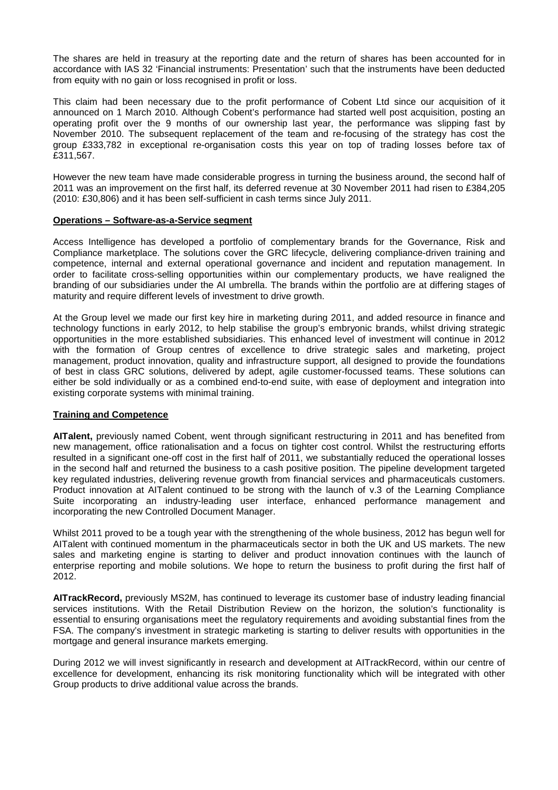The shares are held in treasury at the reporting date and the return of shares has been accounted for in accordance with IAS 32 'Financial instruments: Presentation' such that the instruments have been deducted from equity with no gain or loss recognised in profit or loss.

This claim had been necessary due to the profit performance of Cobent Ltd since our acquisition of it announced on 1 March 2010. Although Cobent's performance had started well post acquisition, posting an operating profit over the 9 months of our ownership last year, the performance was slipping fast by November 2010. The subsequent replacement of the team and re-focusing of the strategy has cost the group £333,782 in exceptional re-organisation costs this year on top of trading losses before tax of £311,567.

However the new team have made considerable progress in turning the business around, the second half of 2011 was an improvement on the first half, its deferred revenue at 30 November 2011 had risen to £384,205 (2010: £30,806) and it has been self-sufficient in cash terms since July 2011.

### **Operations – Software-as-a-Service segment**

Access Intelligence has developed a portfolio of complementary brands for the Governance, Risk and Compliance marketplace. The solutions cover the GRC lifecycle, delivering compliance-driven training and competence, internal and external operational governance and incident and reputation management. In order to facilitate cross-selling opportunities within our complementary products, we have realigned the branding of our subsidiaries under the AI umbrella. The brands within the portfolio are at differing stages of maturity and require different levels of investment to drive growth.

At the Group level we made our first key hire in marketing during 2011, and added resource in finance and technology functions in early 2012, to help stabilise the group's embryonic brands, whilst driving strategic opportunities in the more established subsidiaries. This enhanced level of investment will continue in 2012 with the formation of Group centres of excellence to drive strategic sales and marketing, project management, product innovation, quality and infrastructure support, all designed to provide the foundations of best in class GRC solutions, delivered by adept, agile customer-focussed teams. These solutions can either be sold individually or as a combined end-to-end suite, with ease of deployment and integration into existing corporate systems with minimal training.

# **Training and Competence**

**AITalent,** previously named Cobent, went through significant restructuring in 2011 and has benefited from new management, office rationalisation and a focus on tighter cost control. Whilst the restructuring efforts resulted in a significant one-off cost in the first half of 2011, we substantially reduced the operational losses in the second half and returned the business to a cash positive position. The pipeline development targeted key regulated industries, delivering revenue growth from financial services and pharmaceuticals customers. Product innovation at AITalent continued to be strong with the launch of v.3 of the Learning Compliance Suite incorporating an industry-leading user interface, enhanced performance management and incorporating the new Controlled Document Manager.

Whilst 2011 proved to be a tough year with the strengthening of the whole business, 2012 has begun well for AITalent with continued momentum in the pharmaceuticals sector in both the UK and US markets. The new sales and marketing engine is starting to deliver and product innovation continues with the launch of enterprise reporting and mobile solutions. We hope to return the business to profit during the first half of 2012.

**AITrackRecord,** previously MS2M, has continued to leverage its customer base of industry leading financial services institutions. With the Retail Distribution Review on the horizon, the solution's functionality is essential to ensuring organisations meet the regulatory requirements and avoiding substantial fines from the FSA. The company's investment in strategic marketing is starting to deliver results with opportunities in the mortgage and general insurance markets emerging.

During 2012 we will invest significantly in research and development at AITrackRecord, within our centre of excellence for development, enhancing its risk monitoring functionality which will be integrated with other Group products to drive additional value across the brands.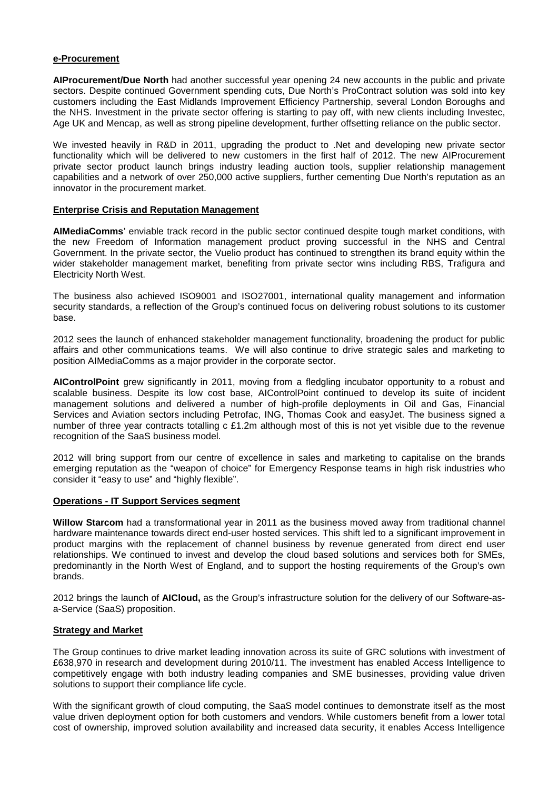### **e-Procurement**

**AIProcurement/Due North** had another successful year opening 24 new accounts in the public and private sectors. Despite continued Government spending cuts, Due North's ProContract solution was sold into key customers including the East Midlands Improvement Efficiency Partnership, several London Boroughs and the NHS. Investment in the private sector offering is starting to pay off, with new clients including Investec, Age UK and Mencap, as well as strong pipeline development, further offsetting reliance on the public sector.

We invested heavily in R&D in 2011, upgrading the product to .Net and developing new private sector functionality which will be delivered to new customers in the first half of 2012. The new AIProcurement private sector product launch brings industry leading auction tools, supplier relationship management capabilities and a network of over 250,000 active suppliers, further cementing Due North's reputation as an innovator in the procurement market.

# **Enterprise Crisis and Reputation Management**

**AIMediaComms**' enviable track record in the public sector continued despite tough market conditions, with the new Freedom of Information management product proving successful in the NHS and Central Government. In the private sector, the Vuelio product has continued to strengthen its brand equity within the wider stakeholder management market, benefiting from private sector wins including RBS, Trafigura and Electricity North West.

The business also achieved ISO9001 and ISO27001, international quality management and information security standards, a reflection of the Group's continued focus on delivering robust solutions to its customer base.

2012 sees the launch of enhanced stakeholder management functionality, broadening the product for public affairs and other communications teams. We will also continue to drive strategic sales and marketing to position AIMediaComms as a major provider in the corporate sector.

**AIControlPoint** grew significantly in 2011, moving from a fledgling incubator opportunity to a robust and scalable business. Despite its low cost base, AIControlPoint continued to develop its suite of incident management solutions and delivered a number of high-profile deployments in Oil and Gas, Financial Services and Aviation sectors including Petrofac, ING, Thomas Cook and easyJet. The business signed a number of three year contracts totalling c £1.2m although most of this is not yet visible due to the revenue recognition of the SaaS business model.

2012 will bring support from our centre of excellence in sales and marketing to capitalise on the brands emerging reputation as the "weapon of choice" for Emergency Response teams in high risk industries who consider it "easy to use" and "highly flexible".

### **Operations - IT Support Services segment**

**Willow Starcom** had a transformational year in 2011 as the business moved away from traditional channel hardware maintenance towards direct end-user hosted services. This shift led to a significant improvement in product margins with the replacement of channel business by revenue generated from direct end user relationships. We continued to invest and develop the cloud based solutions and services both for SMEs, predominantly in the North West of England, and to support the hosting requirements of the Group's own brands.

2012 brings the launch of **AICloud,** as the Group's infrastructure solution for the delivery of our Software-asa-Service (SaaS) proposition.

### **Strategy and Market**

The Group continues to drive market leading innovation across its suite of GRC solutions with investment of £638,970 in research and development during 2010/11. The investment has enabled Access Intelligence to competitively engage with both industry leading companies and SME businesses, providing value driven solutions to support their compliance life cycle.

With the significant growth of cloud computing, the SaaS model continues to demonstrate itself as the most value driven deployment option for both customers and vendors. While customers benefit from a lower total cost of ownership, improved solution availability and increased data security, it enables Access Intelligence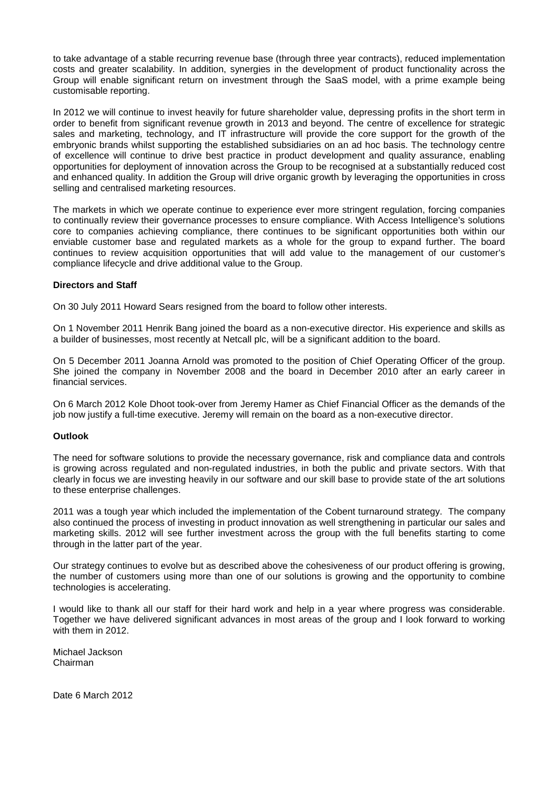to take advantage of a stable recurring revenue base (through three year contracts), reduced implementation costs and greater scalability. In addition, synergies in the development of product functionality across the Group will enable significant return on investment through the SaaS model, with a prime example being customisable reporting.

In 2012 we will continue to invest heavily for future shareholder value, depressing profits in the short term in order to benefit from significant revenue growth in 2013 and beyond. The centre of excellence for strategic sales and marketing, technology, and IT infrastructure will provide the core support for the growth of the embryonic brands whilst supporting the established subsidiaries on an ad hoc basis. The technology centre of excellence will continue to drive best practice in product development and quality assurance, enabling opportunities for deployment of innovation across the Group to be recognised at a substantially reduced cost and enhanced quality. In addition the Group will drive organic growth by leveraging the opportunities in cross selling and centralised marketing resources.

The markets in which we operate continue to experience ever more stringent regulation, forcing companies to continually review their governance processes to ensure compliance. With Access Intelligence's solutions core to companies achieving compliance, there continues to be significant opportunities both within our enviable customer base and regulated markets as a whole for the group to expand further. The board continues to review acquisition opportunities that will add value to the management of our customer's compliance lifecycle and drive additional value to the Group.

# **Directors and Staff**

On 30 July 2011 Howard Sears resigned from the board to follow other interests.

On 1 November 2011 Henrik Bang joined the board as a non-executive director. His experience and skills as a builder of businesses, most recently at Netcall plc, will be a significant addition to the board.

On 5 December 2011 Joanna Arnold was promoted to the position of Chief Operating Officer of the group. She joined the company in November 2008 and the board in December 2010 after an early career in financial services.

On 6 March 2012 Kole Dhoot took-over from Jeremy Hamer as Chief Financial Officer as the demands of the job now justify a full-time executive. Jeremy will remain on the board as a non-executive director.

### **Outlook**

The need for software solutions to provide the necessary governance, risk and compliance data and controls is growing across regulated and non-regulated industries, in both the public and private sectors. With that clearly in focus we are investing heavily in our software and our skill base to provide state of the art solutions to these enterprise challenges.

2011 was a tough year which included the implementation of the Cobent turnaround strategy. The company also continued the process of investing in product innovation as well strengthening in particular our sales and marketing skills. 2012 will see further investment across the group with the full benefits starting to come through in the latter part of the year.

Our strategy continues to evolve but as described above the cohesiveness of our product offering is growing, the number of customers using more than one of our solutions is growing and the opportunity to combine technologies is accelerating.

I would like to thank all our staff for their hard work and help in a year where progress was considerable. Together we have delivered significant advances in most areas of the group and I look forward to working with them in 2012.

Michael Jackson Chairman

Date 6 March 2012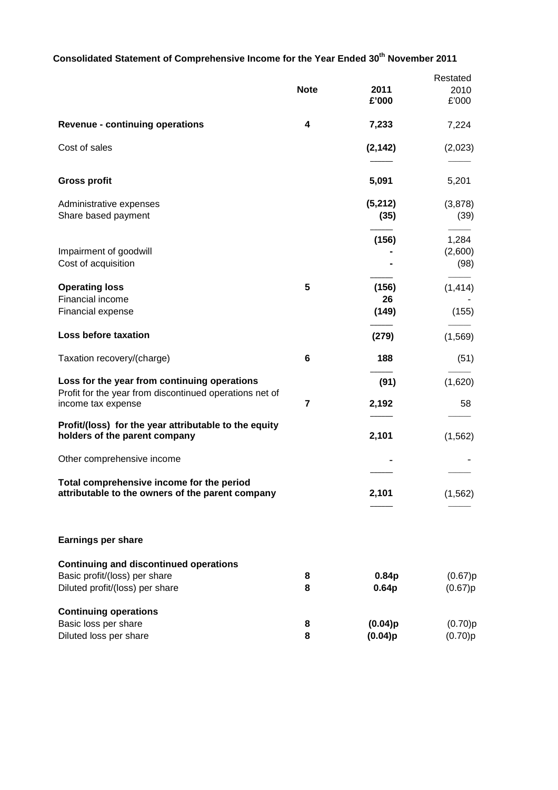# **Consolidated Statement of Comprehensive Income for the Year Ended 30th November 2011**

|                                                                               |             |                    | Restated           |
|-------------------------------------------------------------------------------|-------------|--------------------|--------------------|
|                                                                               | <b>Note</b> | 2011               | 2010               |
|                                                                               |             | £'000              | £'000              |
| <b>Revenue - continuing operations</b>                                        | 4           | 7,233              | 7,224              |
| Cost of sales                                                                 |             | (2, 142)           | (2,023)            |
| <b>Gross profit</b>                                                           |             | 5,091              | 5,201              |
| Administrative expenses                                                       |             | (5,212)            | (3,878)            |
| Share based payment                                                           |             | (35)               | (39)               |
|                                                                               |             | (156)              | 1,284              |
| Impairment of goodwill<br>Cost of acquisition                                 |             |                    | (2,600)<br>(98)    |
| <b>Operating loss</b>                                                         | 5           | (156)              | (1, 414)           |
| Financial income                                                              |             | 26                 |                    |
| Financial expense                                                             |             | (149)              | (155)              |
| Loss before taxation                                                          |             | (279)              | (1, 569)           |
| Taxation recovery/(charge)                                                    | 6           | 188                | (51)               |
| Loss for the year from continuing operations                                  |             | (91)               | (1,620)            |
| Profit for the year from discontinued operations net of<br>income tax expense | 7           | 2,192              | 58                 |
| Profit/(loss) for the year attributable to the equity                         |             |                    |                    |
| holders of the parent company                                                 |             | 2,101              | (1, 562)           |
| Other comprehensive income                                                    |             |                    |                    |
| Total comprehensive income for the period                                     |             |                    |                    |
| attributable to the owners of the parent company                              |             | 2,101              | (1, 562)           |
|                                                                               |             |                    |                    |
| <b>Earnings per share</b>                                                     |             |                    |                    |
| <b>Continuing and discontinued operations</b>                                 |             |                    |                    |
| Basic profit/(loss) per share                                                 | 8           | 0.84p              | (0.67)p            |
| Diluted profit/(loss) per share                                               | 8           | 0.64 <sub>p</sub>  | (0.67)p            |
| <b>Continuing operations</b>                                                  |             |                    |                    |
| Basic loss per share<br>Diluted loss per share                                | 8<br>8      | (0.04)p<br>(0.04)p | (0.70)p<br>(0.70)p |
|                                                                               |             |                    |                    |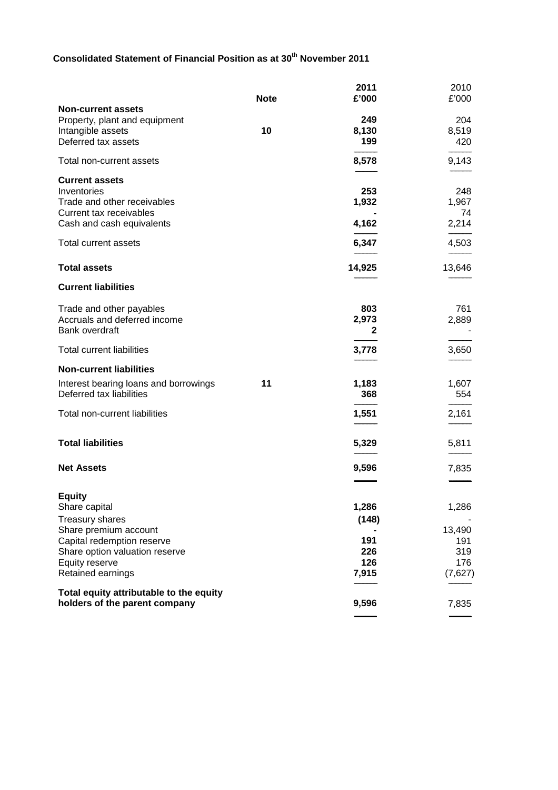# **Consolidated Statement of Financial Position as at 30th November 2011**

|                                                                                                                                                                                          | <b>Note</b> | 2011<br>£'000                                | 2010<br>£'000                                   |
|------------------------------------------------------------------------------------------------------------------------------------------------------------------------------------------|-------------|----------------------------------------------|-------------------------------------------------|
| <b>Non-current assets</b><br>Property, plant and equipment<br>Intangible assets<br>Deferred tax assets                                                                                   | 10          | 249<br>8,130<br>199                          | 204<br>8,519<br>420                             |
| Total non-current assets                                                                                                                                                                 |             | 8,578                                        | 9,143                                           |
| <b>Current assets</b><br>Inventories<br>Trade and other receivables<br>Current tax receivables<br>Cash and cash equivalents                                                              |             | 253<br>1,932<br>4,162                        | 248<br>1,967<br>74<br>2,214                     |
| Total current assets                                                                                                                                                                     |             | 6,347                                        | 4,503                                           |
| <b>Total assets</b>                                                                                                                                                                      |             | 14,925                                       | 13,646                                          |
| <b>Current liabilities</b>                                                                                                                                                               |             |                                              |                                                 |
| Trade and other payables<br>Accruals and deferred income<br>Bank overdraft                                                                                                               |             | 803<br>2,973<br>2                            | 761<br>2,889                                    |
| <b>Total current liabilities</b>                                                                                                                                                         |             | 3,778                                        | 3,650                                           |
| <b>Non-current liabilities</b>                                                                                                                                                           |             |                                              |                                                 |
| Interest bearing loans and borrowings<br>Deferred tax liabilities                                                                                                                        | 11          | 1,183<br>368                                 | 1,607<br>554                                    |
| Total non-current liabilities                                                                                                                                                            |             | 1,551                                        | 2,161                                           |
| <b>Total liabilities</b>                                                                                                                                                                 |             | 5,329                                        | 5,811                                           |
| <b>Net Assets</b>                                                                                                                                                                        |             | 9,596                                        | 7,835                                           |
| <b>Equity</b><br>Share capital<br><b>Treasury shares</b><br>Share premium account<br>Capital redemption reserve<br>Share option valuation reserve<br>Equity reserve<br>Retained earnings |             | 1,286<br>(148)<br>191<br>226<br>126<br>7,915 | 1,286<br>13,490<br>191<br>319<br>176<br>(7,627) |
| Total equity attributable to the equity<br>holders of the parent company                                                                                                                 |             | 9,596                                        | 7,835                                           |
|                                                                                                                                                                                          |             |                                              |                                                 |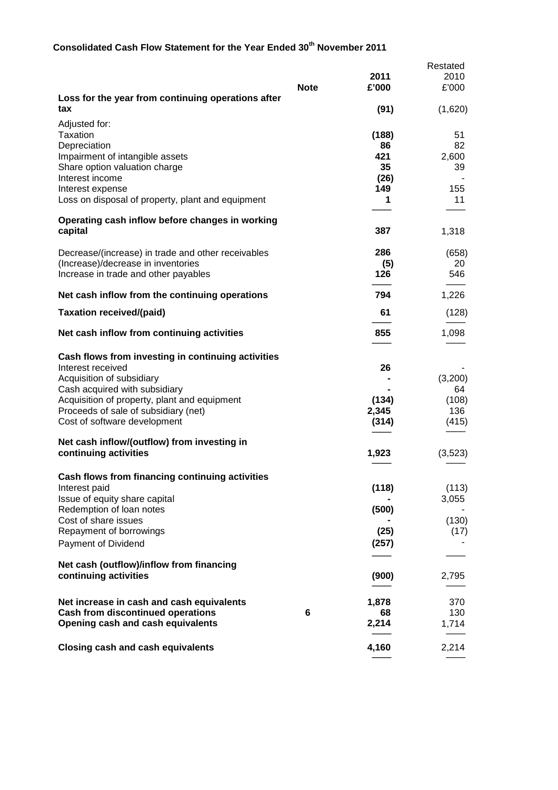# **Consolidated Cash Flow Statement for the Year Ended 30th November 2011**

|                                                                               |             |             | Restated       |
|-------------------------------------------------------------------------------|-------------|-------------|----------------|
|                                                                               |             | 2011        | 2010           |
|                                                                               | <b>Note</b> | £'000       | £'000          |
| Loss for the year from continuing operations after<br>tax                     |             | (91)        | (1,620)        |
| Adjusted for:                                                                 |             |             |                |
| <b>Taxation</b>                                                               |             | (188)       | 51             |
| Depreciation                                                                  |             | 86          | 82             |
| Impairment of intangible assets                                               |             | 421         | 2,600          |
| Share option valuation charge<br>Interest income                              |             | 35<br>(26)  | 39             |
| Interest expense                                                              |             | 149         | 155            |
| Loss on disposal of property, plant and equipment                             |             | 1           | 11             |
|                                                                               |             |             |                |
| Operating cash inflow before changes in working<br>capital                    |             | 387         | 1,318          |
|                                                                               |             |             |                |
| Decrease/(increase) in trade and other receivables                            |             | 286         | (658)          |
| (Increase)/decrease in inventories                                            |             | (5)         | 20             |
| Increase in trade and other payables                                          |             | 126         | 546            |
| Net cash inflow from the continuing operations                                |             | 794         | 1,226          |
| <b>Taxation received/(paid)</b>                                               |             | 61          | (128)          |
| Net cash inflow from continuing activities                                    |             | 855         | 1,098          |
|                                                                               |             |             |                |
| Cash flows from investing in continuing activities                            |             | 26          |                |
| Interest received<br>Acquisition of subsidiary                                |             |             | (3,200)        |
| Cash acquired with subsidiary                                                 |             |             | 64             |
| Acquisition of property, plant and equipment                                  |             | (134)       | (108)          |
| Proceeds of sale of subsidiary (net)                                          |             | 2,345       | 136            |
| Cost of software development                                                  |             | (314)       | (415)          |
|                                                                               |             |             |                |
| Net cash inflow/(outflow) from investing in                                   |             |             |                |
| continuing activities                                                         |             | 1,923       | (3,523)        |
|                                                                               |             |             |                |
| Cash flows from financing continuing activities                               |             | (118)       |                |
| Interest paid<br>Issue of equity share capital                                |             |             | (113)<br>3,055 |
| Redemption of loan notes                                                      |             | (500)       |                |
| Cost of share issues                                                          |             |             | (130)          |
| Repayment of borrowings                                                       |             | (25)        | (17)           |
| Payment of Dividend                                                           |             | (257)       |                |
|                                                                               |             |             |                |
| Net cash (outflow)/inflow from financing                                      |             |             |                |
| continuing activities                                                         |             | (900)       | 2,795          |
|                                                                               |             |             |                |
| Net increase in cash and cash equivalents                                     |             | 1,878       | 370            |
| <b>Cash from discontinued operations</b><br>Opening cash and cash equivalents | 6           | 68<br>2,214 | 130<br>1,714   |
|                                                                               |             |             |                |
| <b>Closing cash and cash equivalents</b>                                      |             | 4,160       | 2,214          |
|                                                                               |             |             |                |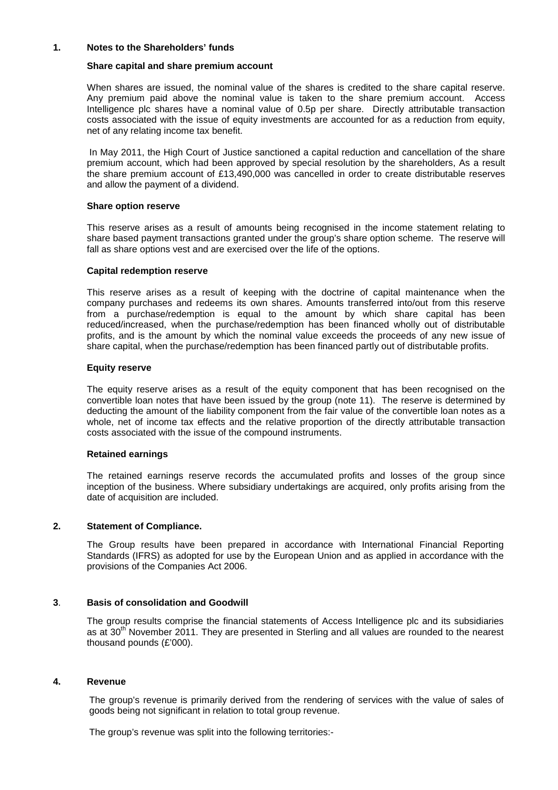### **1. Notes to the Shareholders' funds**

### **Share capital and share premium account**

When shares are issued, the nominal value of the shares is credited to the share capital reserve. Any premium paid above the nominal value is taken to the share premium account. Access Intelligence plc shares have a nominal value of 0.5p per share. Directly attributable transaction costs associated with the issue of equity investments are accounted for as a reduction from equity, net of any relating income tax benefit.

 In May 2011, the High Court of Justice sanctioned a capital reduction and cancellation of the share premium account, which had been approved by special resolution by the shareholders, As a result the share premium account of £13,490,000 was cancelled in order to create distributable reserves and allow the payment of a dividend.

### **Share option reserve**

This reserve arises as a result of amounts being recognised in the income statement relating to share based payment transactions granted under the group's share option scheme. The reserve will fall as share options vest and are exercised over the life of the options.

### **Capital redemption reserve**

This reserve arises as a result of keeping with the doctrine of capital maintenance when the company purchases and redeems its own shares. Amounts transferred into/out from this reserve from a purchase/redemption is equal to the amount by which share capital has been reduced/increased, when the purchase/redemption has been financed wholly out of distributable profits, and is the amount by which the nominal value exceeds the proceeds of any new issue of share capital, when the purchase/redemption has been financed partly out of distributable profits.

### **Equity reserve**

The equity reserve arises as a result of the equity component that has been recognised on the convertible loan notes that have been issued by the group (note 11). The reserve is determined by deducting the amount of the liability component from the fair value of the convertible loan notes as a whole, net of income tax effects and the relative proportion of the directly attributable transaction costs associated with the issue of the compound instruments.

### **Retained earnings**

The retained earnings reserve records the accumulated profits and losses of the group since inception of the business. Where subsidiary undertakings are acquired, only profits arising from the date of acquisition are included.

### **2. Statement of Compliance.**

The Group results have been prepared in accordance with International Financial Reporting Standards (IFRS) as adopted for use by the European Union and as applied in accordance with the provisions of the Companies Act 2006.

### **3**. **Basis of consolidation and Goodwill**

The group results comprise the financial statements of Access Intelligence plc and its subsidiaries as at  $30<sup>th</sup>$  November 2011. They are presented in Sterling and all values are rounded to the nearest thousand pounds (£'000).

#### **4. Revenue**

The group's revenue is primarily derived from the rendering of services with the value of sales of goods being not significant in relation to total group revenue.

The group's revenue was split into the following territories:-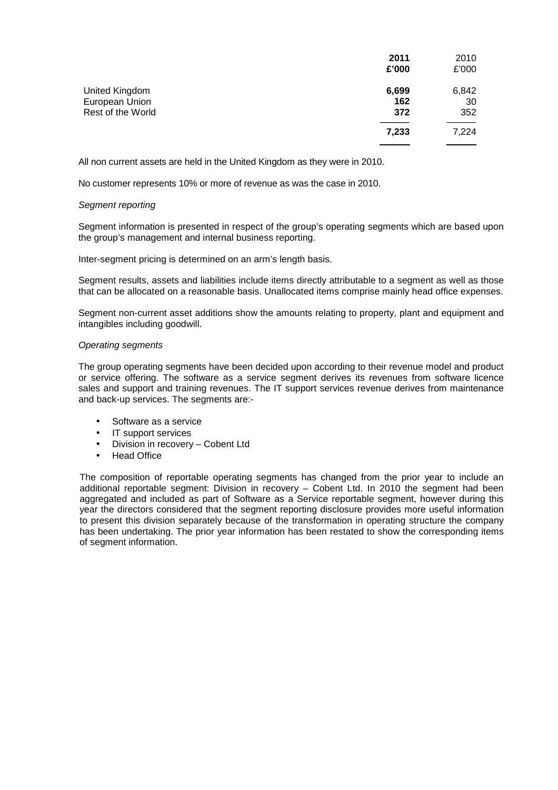|                   | 2011  | 2010  |
|-------------------|-------|-------|
|                   | £'000 | £'000 |
| United Kingdom    | 6,699 | 6,842 |
| European Union    | 162   | 30    |
| Rest of the World | 372   | 352   |
|                   | 7,233 | 7,224 |
|                   |       |       |

All non current assets are held in the United Kingdom as they were in 2010.

No customer represents 10% or more of revenue as was the case in 2010.

### Segment reporting

Segment information is presented in respect of the group's operating segments which are based upon the group's management and internal business reporting.

Inter-segment pricing is determined on an arm's length basis.

Segment results, assets and liabilities include items directly attributable to a segment as well as those that can be allocated on a reasonable basis. Unallocated items comprise mainly head office expenses.

Segment non-current asset additions show the amounts relating to property, plant and equipment and intangibles including goodwill.

### Operating segments

The group operating segments have been decided upon according to their revenue model and product or service offering. The software as a service segment derives its revenues from software licence sales and support and training revenues. The IT support services revenue derives from maintenance and back-up services. The segments are:-

- Software as a service
- IT support services
- Division in recovery Cobent Ltd
- **Head Office**

The composition of reportable operating segments has changed from the prior year to include an additional reportable segment: Division in recovery – Cobent Ltd. In 2010 the segment had been aggregated and included as part of Software as a Service reportable segment, however during this year the directors considered that the segment reporting disclosure provides more useful information to present this division separately because of the transformation in operating structure the company has been undertaking. The prior year information has been restated to show the corresponding items of segment information.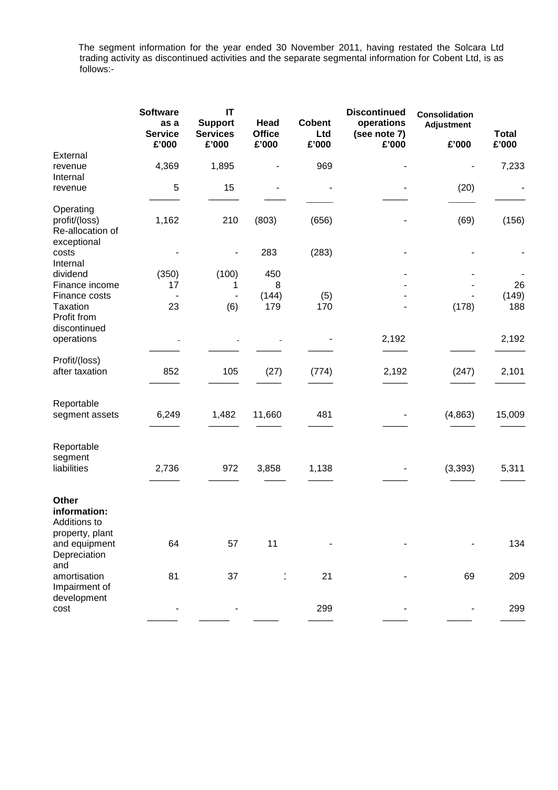The segment information for the year ended 30 November 2011, having restated the Solcara Ltd trading activity as discontinued activities and the separate segmental information for Cobent Ltd, is as follows:-

| <b>Software</b><br>as a<br><b>Service</b><br>£'000 | IT<br><b>Support</b><br><b>Services</b><br>£'000 | Head<br><b>Office</b> | <b>Cobent</b><br>Ltd | <b>Discontinued</b><br>operations<br>(see note 7) | <b>Consolidation</b><br><b>Adjustment</b> | <b>Total</b><br>£'000 |
|----------------------------------------------------|--------------------------------------------------|-----------------------|----------------------|---------------------------------------------------|-------------------------------------------|-----------------------|
| 4,369                                              | 1,895                                            |                       | 969                  |                                                   |                                           | 7,233                 |
| 5                                                  | 15                                               | ٠                     |                      |                                                   | (20)                                      |                       |
| 1,162                                              | 210                                              | (803)                 | (656)                |                                                   | (69)                                      | (156)                 |
|                                                    |                                                  | 283                   | (283)                |                                                   |                                           |                       |
| (350)<br>17                                        | (100)<br>1                                       | 450<br>8              |                      |                                                   |                                           | 26                    |
| 23                                                 | (6)                                              | (144)<br>179          | (5)<br>170           |                                                   | (178)                                     | (149)<br>188          |
|                                                    |                                                  |                       |                      | 2,192                                             |                                           | 2,192                 |
| 852                                                | 105                                              | (27)                  | (774)                | 2,192                                             | (247)                                     | 2,101                 |
| 6,249                                              | 1,482                                            | 11,660                | 481                  |                                                   | (4, 863)                                  | 15,009                |
|                                                    |                                                  |                       |                      |                                                   |                                           |                       |
|                                                    |                                                  |                       |                      |                                                   |                                           | 5,311                 |
|                                                    |                                                  |                       |                      |                                                   |                                           |                       |
| 64                                                 | 57                                               | 11                    |                      |                                                   |                                           | 134                   |
| 81                                                 | 37                                               |                       | 21                   |                                                   | 69                                        | 209                   |
|                                                    |                                                  |                       | 299                  |                                                   |                                           | 299                   |
|                                                    | 2,736                                            | 972                   | £'000<br>3,858       | £'000<br>1,138                                    | £'000                                     | £'000<br>(3, 393)     |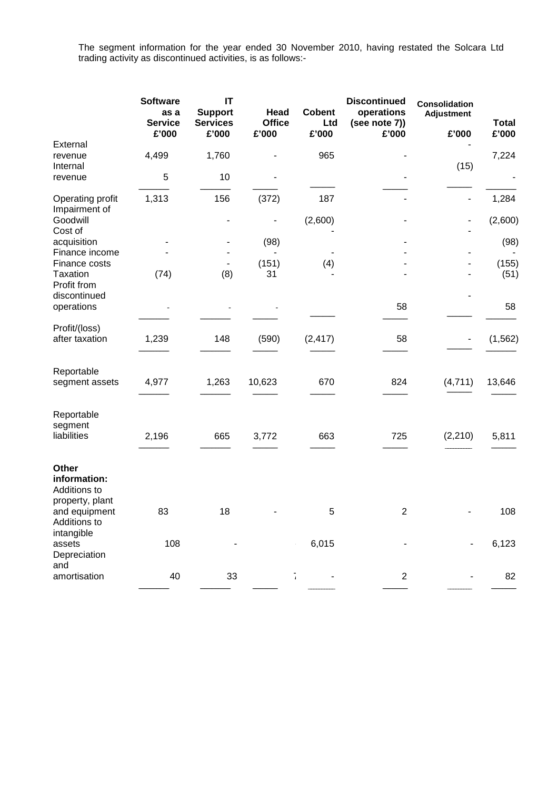The segment information for the year ended 30 November 2010, having restated the Solcara Ltd trading activity as discontinued activities, is as follows:-

|                                                                | <b>Software</b><br>as a<br><b>Service</b><br>£'000 | IT<br><b>Support</b><br><b>Services</b><br>£'000 | Head<br><b>Office</b><br>£'000 | <b>Cobent</b><br>Ltd<br>£'000 | <b>Discontinued</b><br>operations<br>(see note 7))<br>£'000 | <b>Consolidation</b><br><b>Adjustment</b><br>£'000 | <b>Total</b><br>£'000 |
|----------------------------------------------------------------|----------------------------------------------------|--------------------------------------------------|--------------------------------|-------------------------------|-------------------------------------------------------------|----------------------------------------------------|-----------------------|
| External<br>revenue<br>Internal                                | 4,499                                              | 1,760                                            |                                | 965                           |                                                             | (15)                                               | 7,224                 |
| revenue                                                        | 5                                                  | 10                                               |                                |                               |                                                             |                                                    |                       |
| Operating profit<br>Impairment of                              | 1,313                                              | 156                                              | (372)                          | 187                           |                                                             |                                                    | 1,284                 |
| Goodwill<br>Cost of                                            |                                                    | ٠                                                |                                | (2,600)                       |                                                             |                                                    | (2,600)               |
| acquisition<br>Finance income                                  |                                                    |                                                  | (98)                           |                               |                                                             |                                                    | (98)                  |
| Finance costs<br><b>Taxation</b><br>Profit from                | (74)                                               | (8)                                              | (151)<br>31                    | (4)                           |                                                             |                                                    | (155)<br>(51)         |
| discontinued<br>operations                                     |                                                    |                                                  |                                |                               | 58                                                          |                                                    | 58                    |
| Profit/(loss)<br>after taxation                                | 1,239                                              | 148                                              | (590)                          | (2, 417)                      | 58                                                          | ٠                                                  | (1, 562)              |
| Reportable<br>segment assets                                   | 4,977                                              | 1,263                                            | 10,623                         | 670                           | 824                                                         | (4,711)                                            | 13,646                |
| Reportable<br>segment<br>liabilities                           | 2,196                                              | 665                                              | 3,772                          | 663                           | 725                                                         | (2, 210)                                           | 5,811                 |
| Other<br>information:<br>Additions to                          |                                                    |                                                  |                                |                               |                                                             |                                                    |                       |
| property, plant<br>and equipment<br>Additions to<br>intangible | 83                                                 | 18                                               |                                | 5                             | 2                                                           |                                                    | 108                   |
| assets<br>Depreciation<br>and                                  | 108                                                |                                                  |                                | 6,015                         |                                                             |                                                    | 6,123                 |
| amortisation                                                   | 40                                                 | 33                                               |                                | $\bar{1}$                     | $\overline{2}$                                              |                                                    | 82                    |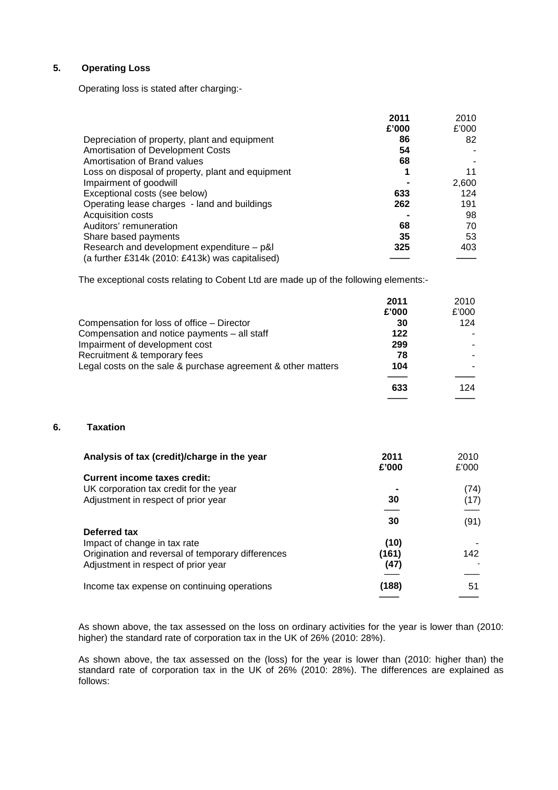# **5. Operating Loss**

Operating loss is stated after charging:-

|                                                   | 2011  | 2010  |
|---------------------------------------------------|-------|-------|
|                                                   | £'000 | £'000 |
| Depreciation of property, plant and equipment     | 86    | 82    |
| Amortisation of Development Costs                 | 54    |       |
| Amortisation of Brand values                      | 68    |       |
| Loss on disposal of property, plant and equipment |       | 11    |
| Impairment of goodwill                            |       | 2,600 |
| Exceptional costs (see below)                     | 633   | 124   |
| Operating lease charges - land and buildings      | 262   | 191   |
| Acquisition costs                                 |       | 98    |
| Auditors' remuneration                            | 68    | 70    |
| Share based payments                              | 35    | 53    |
| Research and development expenditure – p&l        | 325   | 403   |
| (a further £314k (2010: £413k) was capitalised)   |       |       |

The exceptional costs relating to Cobent Ltd are made up of the following elements:-

|                                                              | 2011  | 2010  |
|--------------------------------------------------------------|-------|-------|
|                                                              | £'000 | £'000 |
| Compensation for loss of office - Director                   | 30    | 124   |
| Compensation and notice payments - all staff                 | 122   |       |
| Impairment of development cost                               | 299   |       |
| Recruitment & temporary fees                                 | 78    |       |
| Legal costs on the sale & purchase agreement & other matters | 104   |       |
|                                                              | 633   | 124   |
|                                                              |       |       |

─────────────────────────<del>───</del>

### **6. Taxation**

| Analysis of tax (credit)/charge in the year       | 2011<br>£'000 | 2010<br>£'000 |
|---------------------------------------------------|---------------|---------------|
| Current income taxes credit:                      |               |               |
| UK corporation tax credit for the year            |               | (74)          |
| Adjustment in respect of prior year               | 30            | (17)          |
|                                                   | 30            | (91)          |
| Deferred tax                                      |               |               |
| Impact of change in tax rate                      | (10)          |               |
| Origination and reversal of temporary differences | (161)         | 142           |
| Adjustment in respect of prior year               | (47)          |               |
| Income tax expense on continuing operations       | (188)         | 51            |
|                                                   |               |               |

As shown above, the tax assessed on the loss on ordinary activities for the year is lower than (2010: higher) the standard rate of corporation tax in the UK of 26% (2010: 28%).

As shown above, the tax assessed on the (loss) for the year is lower than (2010: higher than) the standard rate of corporation tax in the UK of 26% (2010: 28%). The differences are explained as follows: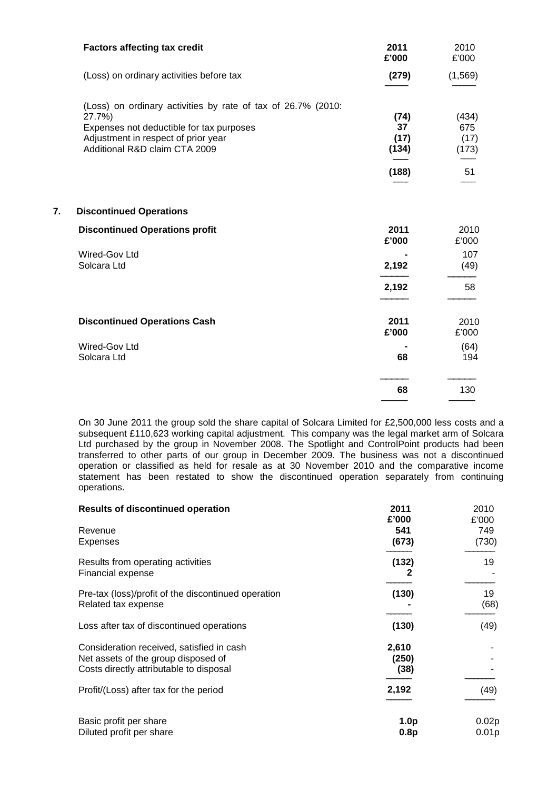|    | <b>Factors affecting tax credit</b>                                                                                                                                                        | 2011<br>£'000               | 2010<br>£'000                 |
|----|--------------------------------------------------------------------------------------------------------------------------------------------------------------------------------------------|-----------------------------|-------------------------------|
|    | (Loss) on ordinary activities before tax                                                                                                                                                   | (279)                       | (1, 569)                      |
|    | (Loss) on ordinary activities by rate of tax of 26.7% (2010:<br>27.7%)<br>Expenses not deductible for tax purposes<br>Adjustment in respect of prior year<br>Additional R&D claim CTA 2009 | (74)<br>37<br>(17)<br>(134) | (434)<br>675<br>(17)<br>(173) |
|    |                                                                                                                                                                                            | (188)                       | 51                            |
| 7. | <b>Discontinued Operations</b>                                                                                                                                                             |                             |                               |
|    | <b>Discontinued Operations profit</b>                                                                                                                                                      | 2011<br>£'000               | 2010<br>£'000                 |
|    | Wired-Gov Ltd<br>Solcara Ltd                                                                                                                                                               | 2,192                       | 107<br>(49)                   |
|    |                                                                                                                                                                                            | 2,192                       | 58                            |
|    | <b>Discontinued Operations Cash</b>                                                                                                                                                        | 2011<br>£'000               | 2010<br>£'000                 |
|    | Wired-Gov Ltd<br>Solcara Ltd                                                                                                                                                               | 68                          | (64)<br>194                   |
|    |                                                                                                                                                                                            | 68                          | 130                           |
|    |                                                                                                                                                                                            |                             |                               |

On 30 June 2011 the group sold the share capital of Solcara Limited for £2,500,000 less costs and a subsequent £110,623 working capital adjustment. This company was the legal market arm of Solcara Ltd purchased by the group in November 2008. The Spotlight and ControlPoint products had been transferred to other parts of our group in December 2009. The business was not a discontinued operation or classified as held for resale as at 30 November 2010 and the comparative income statement has been restated to show the discontinued operation separately from continuing operations.

| <b>Results of discontinued operation</b>                                                                                    | 2011<br>£'000            | 2010<br>£'000  |
|-----------------------------------------------------------------------------------------------------------------------------|--------------------------|----------------|
| Revenue<br>Expenses                                                                                                         | 541<br>(673)             | 749<br>(730)   |
| Results from operating activities<br>Financial expense                                                                      | (132)<br>2               | 19             |
| Pre-tax (loss)/profit of the discontinued operation<br>Related tax expense                                                  | (130)                    | 19<br>(68)     |
| Loss after tax of discontinued operations                                                                                   | (130)                    | (49)           |
| Consideration received, satisfied in cash<br>Net assets of the group disposed of<br>Costs directly attributable to disposal | 2,610<br>(250)<br>(38)   |                |
| Profit/(Loss) after tax for the period                                                                                      | 2,192                    | (49)           |
| Basic profit per share<br>Diluted profit per share                                                                          | 1.0 <sub>p</sub><br>0.8p | 0.02p<br>0.01p |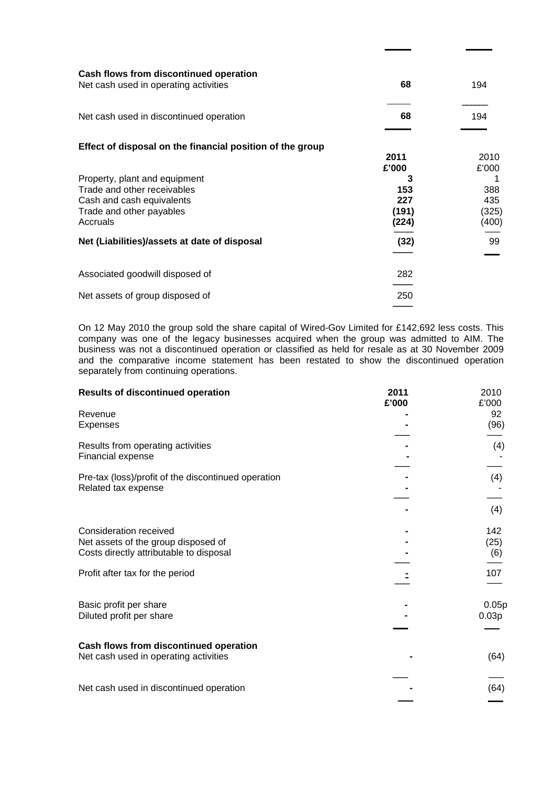| Cash flows from discontinued operation<br>Net cash used in operating activities | 68            | 194           |
|---------------------------------------------------------------------------------|---------------|---------------|
| Net cash used in discontinued operation                                         | 68            | 194           |
| Effect of disposal on the financial position of the group                       |               |               |
|                                                                                 | 2011<br>£'000 | 2010<br>£'000 |
| Property, plant and equipment                                                   | 3             |               |
| Trade and other receivables                                                     | 153           | 388           |
| Cash and cash equivalents                                                       | 227           | 435           |
| Trade and other payables                                                        | (191)         | (325)         |
| Accruals                                                                        | (224)         | (400)         |
|                                                                                 |               |               |
| Net (Liabilities)/assets at date of disposal                                    | (32)          | 99            |
|                                                                                 |               |               |
| Associated goodwill disposed of                                                 | 282           |               |
|                                                                                 |               |               |
| Net assets of group disposed of                                                 | 250           |               |
|                                                                                 |               |               |

**\_\_\_\_\_\_\_ \_\_\_\_\_\_\_**

On 12 May 2010 the group sold the share capital of Wired-Gov Limited for £142,692 less costs. This company was one of the legacy businesses acquired when the group was admitted to AIM. The business was not a discontinued operation or classified as held for resale as at 30 November 2009 and the comparative income statement has been restated to show the discontinued operation separately from continuing operations.

| <b>Results of discontinued operation</b>                                                                                                    | 2011<br>£'000 | 2010<br>£'000             |
|---------------------------------------------------------------------------------------------------------------------------------------------|---------------|---------------------------|
| Revenue<br><b>Expenses</b>                                                                                                                  |               | 92<br>(96)                |
| Results from operating activities<br><b>Financial expense</b>                                                                               |               | (4)                       |
| Pre-tax (loss)/profit of the discontinued operation<br>Related tax expense                                                                  |               | (4)<br>(4)                |
| Consideration received<br>Net assets of the group disposed of<br>Costs directly attributable to disposal<br>Profit after tax for the period |               | 142<br>(25)<br>(6)<br>107 |
| Basic profit per share<br>Diluted profit per share                                                                                          |               | 0.05p<br>0.03p            |
| Cash flows from discontinued operation<br>Net cash used in operating activities                                                             |               | (64)                      |
| Net cash used in discontinued operation                                                                                                     |               | (64)                      |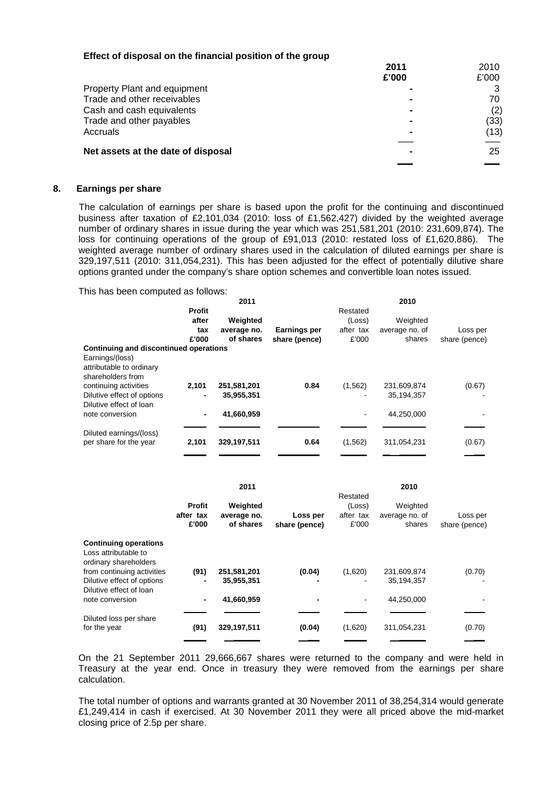| Effect of disposal on the financial position of the group |  |  |  |  |  |
|-----------------------------------------------------------|--|--|--|--|--|
|-----------------------------------------------------------|--|--|--|--|--|

|                                     | 2011  | 2010  |
|-------------------------------------|-------|-------|
|                                     | £'000 | £'000 |
| <b>Property Plant and equipment</b> |       |       |
| Trade and other receivables         |       | 70    |
| Cash and cash equivalents           |       | (2)   |
| Trade and other payables            |       | (33)  |
| Accruals                            |       | (13)  |
| Net assets at the date of disposal  |       | 25    |
|                                     |       |       |

### **8. Earnings per share**

The calculation of earnings per share is based upon the profit for the continuing and discontinued business after taxation of £2,101,034 (2010: loss of £1,562,427) divided by the weighted average number of ordinary shares in issue during the year which was 251,581,201 (2010: 231,609,874). The loss for continuing operations of the group of £91,013 (2010: restated loss of £1,620,886). The weighted average number of ordinary shares used in the calculation of diluted earnings per share is 329,197,511 (2010: 311,054,231). This has been adjusted for the effect of potentially dilutive share options granted under the company's share option schemes and convertible loan notes issued.

This has been computed as follows:

|                                        |                | 2011        |                     |           | 2010           |               |
|----------------------------------------|----------------|-------------|---------------------|-----------|----------------|---------------|
|                                        | Profit         |             |                     | Restated  |                |               |
|                                        | after          | Weighted    |                     | (Loss)    | Weighted       |               |
|                                        | tax            | average no. | <b>Earnings per</b> | after tax | average no. of | Loss per      |
|                                        | £'000          | of shares   | share (pence)       | £'000     | shares         | share (pence) |
| Continuing and discontinued operations |                |             |                     |           |                |               |
| Earnings/(loss)                        |                |             |                     |           |                |               |
| attributable to ordinary               |                |             |                     |           |                |               |
| shareholders from                      |                |             |                     |           |                |               |
| continuing activities                  | 2,101          | 251,581,201 | 0.84                | (1, 562)  | 231,609,874    | (0.67)        |
| Dilutive effect of options             |                | 35,955,351  |                     |           | 35,194,357     |               |
| Dilutive effect of loan                |                |             |                     |           |                |               |
| note conversion                        | $\blacksquare$ | 41,660,959  |                     |           | 44,250,000     |               |
|                                        |                |             |                     |           |                |               |
| Diluted earnings/(loss)                |                |             |                     |           |                |               |
| per share for the year                 | 2,101          | 329,197,511 | 0.64                | (1, 562)  | 311,054,231    | (0.67)        |
|                                        |                |             |                     |           |                |               |
|                                        |                |             |                     |           |                |               |
|                                        |                | 2011        |                     |           | 2010           |               |
|                                        |                |             |                     | Restated  |                |               |
|                                        | <b>Profit</b>  | Weighted    |                     | (Loss)    | Weighted       |               |
|                                        | after tax      | average no. | Loss per            | after tax | average no. of | Loss per      |
|                                        | £'000          | of shares   | share (pence)       | £'000     | shares         | share (pence) |
|                                        |                |             |                     |           |                |               |
| <b>Continuing operations</b>           |                |             |                     |           |                |               |
| Loss attributable to                   |                |             |                     |           |                |               |
| ordinary shareholders                  |                |             |                     |           |                |               |
| from continuing activities             | (91)           | 251,581,201 | (0.04)              | (1,620)   | 231,609,874    | (0.70)        |
| Dilutive effect of options             |                | 35,955,351  |                     |           | 35,194,357     |               |
| Dilutive effect of loan                |                |             |                     |           |                |               |
| note conversion                        |                | 41,660,959  |                     |           | 44,250,000     |               |
|                                        |                |             |                     |           |                |               |
| Diluted loss per share                 |                |             |                     |           |                |               |
| for the year                           | (91)           | 329,197,511 | (0.04)              | (1,620)   | 311,054,231    | (0.70)        |

On the 21 September 2011 29,666,667 shares were returned to the company and were held in Treasury at the year end. Once in treasury they were removed from the earnings per share calculation.

\_\_\_\_\_\_ \_\_\_\_\_\_\_ \_\_\_ \_\_\_\_\_\_ \_\_\_\_\_\_\_ \_\_\_

The total number of options and warrants granted at 30 November 2011 of 38,254,314 would generate £1,249,414 in cash if exercised. At 30 November 2011 they were all priced above the mid-market closing price of 2.5p per share.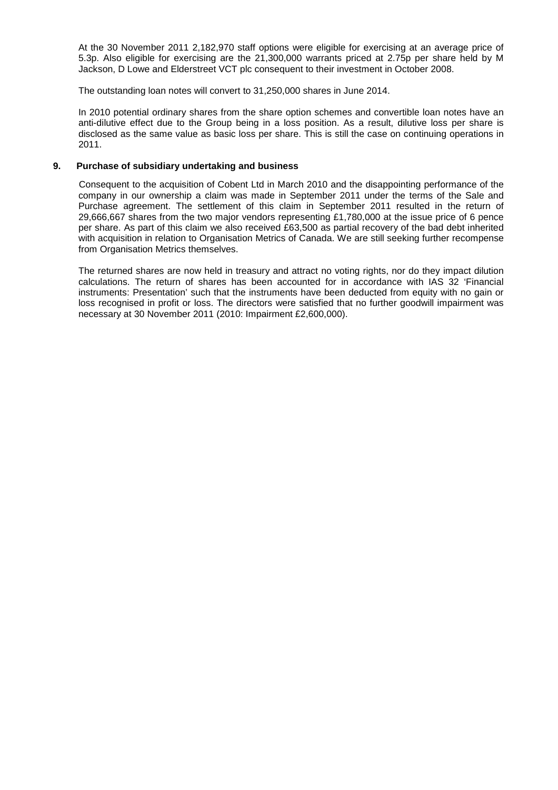At the 30 November 2011 2,182,970 staff options were eligible for exercising at an average price of 5.3p. Also eligible for exercising are the 21,300,000 warrants priced at 2.75p per share held by M Jackson, D Lowe and Elderstreet VCT plc consequent to their investment in October 2008.

The outstanding loan notes will convert to 31,250,000 shares in June 2014.

In 2010 potential ordinary shares from the share option schemes and convertible loan notes have an anti-dilutive effect due to the Group being in a loss position. As a result, dilutive loss per share is disclosed as the same value as basic loss per share. This is still the case on continuing operations in 2011.

# **9. Purchase of subsidiary undertaking and business**

Consequent to the acquisition of Cobent Ltd in March 2010 and the disappointing performance of the company in our ownership a claim was made in September 2011 under the terms of the Sale and Purchase agreement. The settlement of this claim in September 2011 resulted in the return of 29,666,667 shares from the two major vendors representing £1,780,000 at the issue price of 6 pence per share. As part of this claim we also received £63,500 as partial recovery of the bad debt inherited with acquisition in relation to Organisation Metrics of Canada. We are still seeking further recompense from Organisation Metrics themselves.

The returned shares are now held in treasury and attract no voting rights, nor do they impact dilution calculations. The return of shares has been accounted for in accordance with IAS 32 'Financial instruments: Presentation' such that the instruments have been deducted from equity with no gain or loss recognised in profit or loss. The directors were satisfied that no further goodwill impairment was necessary at 30 November 2011 (2010: Impairment £2,600,000).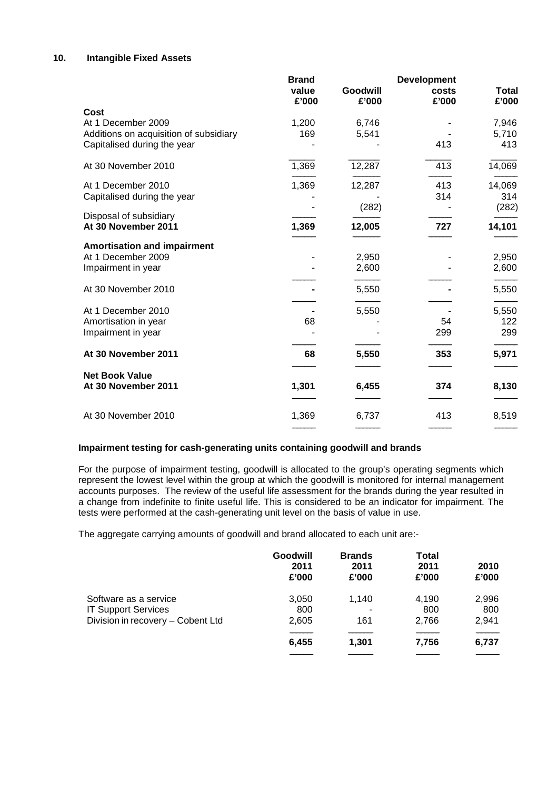# **10. Intangible Fixed Assets**

|                                              | <b>Brand</b><br>value<br>£'000 | Goodwill<br>£'000 | <b>Development</b><br>costs<br>£'000 | <b>Total</b><br>£'000 |
|----------------------------------------------|--------------------------------|-------------------|--------------------------------------|-----------------------|
| Cost                                         |                                |                   |                                      |                       |
| At 1 December 2009                           | 1,200                          | 6,746             |                                      | 7,946                 |
| Additions on acquisition of subsidiary       | 169                            | 5,541             |                                      | 5,710                 |
| Capitalised during the year                  |                                |                   | 413                                  | 413                   |
| At 30 November 2010                          | 1,369                          | 12,287            | 413                                  | 14,069                |
| At 1 December 2010                           | 1,369                          | 12,287            | 413                                  | 14,069                |
| Capitalised during the year                  |                                |                   | 314                                  | 314                   |
| Disposal of subsidiary                       |                                | (282)             |                                      | (282)                 |
| At 30 November 2011                          | 1,369                          | 12,005            | 727                                  | 14,101                |
| <b>Amortisation and impairment</b>           |                                |                   |                                      |                       |
| At 1 December 2009                           |                                | 2,950             |                                      | 2,950                 |
| Impairment in year                           |                                | 2,600             |                                      | 2,600                 |
| At 30 November 2010                          |                                | 5,550             |                                      | 5,550                 |
| At 1 December 2010                           |                                | 5,550             |                                      | 5,550                 |
| Amortisation in year                         | 68                             |                   | 54                                   | 122                   |
| Impairment in year                           |                                |                   | 299                                  | 299                   |
| At 30 November 2011                          | 68                             | 5,550             | 353                                  | 5,971                 |
|                                              |                                |                   |                                      |                       |
| <b>Net Book Value</b><br>At 30 November 2011 | 1,301                          | 6,455             | 374                                  | 8,130                 |
|                                              |                                |                   |                                      |                       |
| At 30 November 2010                          | 1,369                          | 6,737             | 413                                  | 8,519                 |
|                                              |                                |                   |                                      |                       |

# **Impairment testing for cash-generating units containing goodwill and brands**

 For the purpose of impairment testing, goodwill is allocated to the group's operating segments which represent the lowest level within the group at which the goodwill is monitored for internal management accounts purposes. The review of the useful life assessment for the brands during the year resulted in a change from indefinite to finite useful life. This is considered to be an indicator for impairment. The tests were performed at the cash-generating unit level on the basis of value in use.

The aggregate carrying amounts of goodwill and brand allocated to each unit are:-

|                                   | Goodwill<br>2011<br>£'000 | <b>Brands</b><br>2011<br>£'000 | <b>Total</b><br>2011<br>£'000 | 2010<br>£'000 |
|-----------------------------------|---------------------------|--------------------------------|-------------------------------|---------------|
| Software as a service             | 3,050                     | 1.140                          | 4,190                         | 2,996         |
| <b>IT Support Services</b>        | 800                       |                                | 800                           | 800           |
| Division in recovery - Cobent Ltd | 2,605                     | 161                            | 2.766                         | 2,941         |
|                                   | 6,455                     | 1,301                          | 7,756                         | 6,737         |
|                                   |                           |                                |                               |               |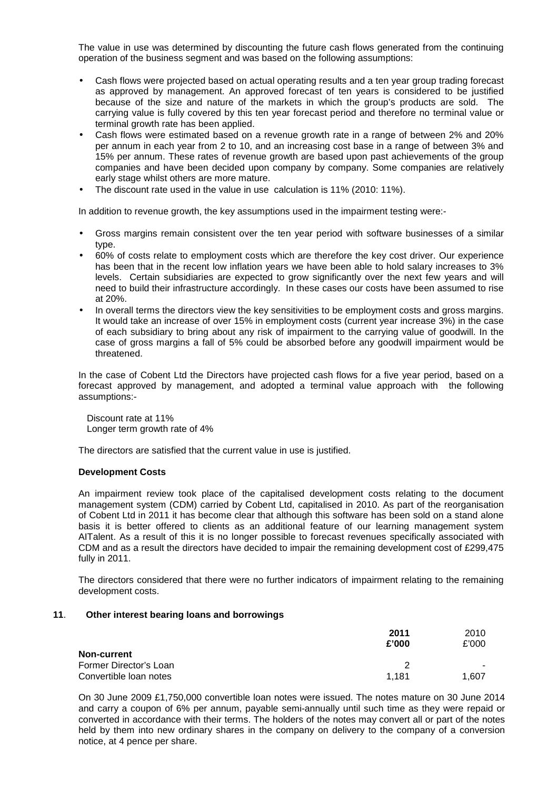The value in use was determined by discounting the future cash flows generated from the continuing operation of the business segment and was based on the following assumptions:

- Cash flows were projected based on actual operating results and a ten year group trading forecast as approved by management. An approved forecast of ten years is considered to be justified because of the size and nature of the markets in which the group's products are sold. The carrying value is fully covered by this ten year forecast period and therefore no terminal value or terminal growth rate has been applied.
- Cash flows were estimated based on a revenue growth rate in a range of between 2% and 20% per annum in each year from 2 to 10, and an increasing cost base in a range of between 3% and 15% per annum. These rates of revenue growth are based upon past achievements of the group companies and have been decided upon company by company. Some companies are relatively early stage whilst others are more mature.
- The discount rate used in the value in use calculation is 11% (2010: 11%).

In addition to revenue growth, the key assumptions used in the impairment testing were:-

- Gross margins remain consistent over the ten year period with software businesses of a similar type.
- 60% of costs relate to employment costs which are therefore the key cost driver. Our experience has been that in the recent low inflation years we have been able to hold salary increases to 3% levels. Certain subsidiaries are expected to grow significantly over the next few years and will need to build their infrastructure accordingly. In these cases our costs have been assumed to rise at 20%.
- In overall terms the directors view the key sensitivities to be employment costs and gross margins. It would take an increase of over 15% in employment costs (current year increase 3%) in the case of each subsidiary to bring about any risk of impairment to the carrying value of goodwill. In the case of gross margins a fall of 5% could be absorbed before any goodwill impairment would be threatened.

In the case of Cobent Ltd the Directors have projected cash flows for a five year period, based on a forecast approved by management, and adopted a terminal value approach with the following assumptions:-

 Discount rate at 11% Longer term growth rate of 4%

The directors are satisfied that the current value in use is justified.

### **Development Costs**

An impairment review took place of the capitalised development costs relating to the document management system (CDM) carried by Cobent Ltd, capitalised in 2010. As part of the reorganisation of Cobent Ltd in 2011 it has become clear that although this software has been sold on a stand alone basis it is better offered to clients as an additional feature of our learning management system AITalent. As a result of this it is no longer possible to forecast revenues specifically associated with CDM and as a result the directors have decided to impair the remaining development cost of £299,475 fully in 2011.

The directors considered that there were no further indicators of impairment relating to the remaining development costs.

### **11**. **Other interest bearing loans and borrowings**

|                        | 2011<br>£'000 | 2010<br>£'000 |
|------------------------|---------------|---------------|
| <b>Non-current</b>     |               |               |
| Former Director's Loan | っ             |               |
| Convertible loan notes | 1.181         | 1.607         |

On 30 June 2009 £1,750,000 convertible loan notes were issued. The notes mature on 30 June 2014 and carry a coupon of 6% per annum, payable semi-annually until such time as they were repaid or converted in accordance with their terms. The holders of the notes may convert all or part of the notes held by them into new ordinary shares in the company on delivery to the company of a conversion notice, at 4 pence per share.